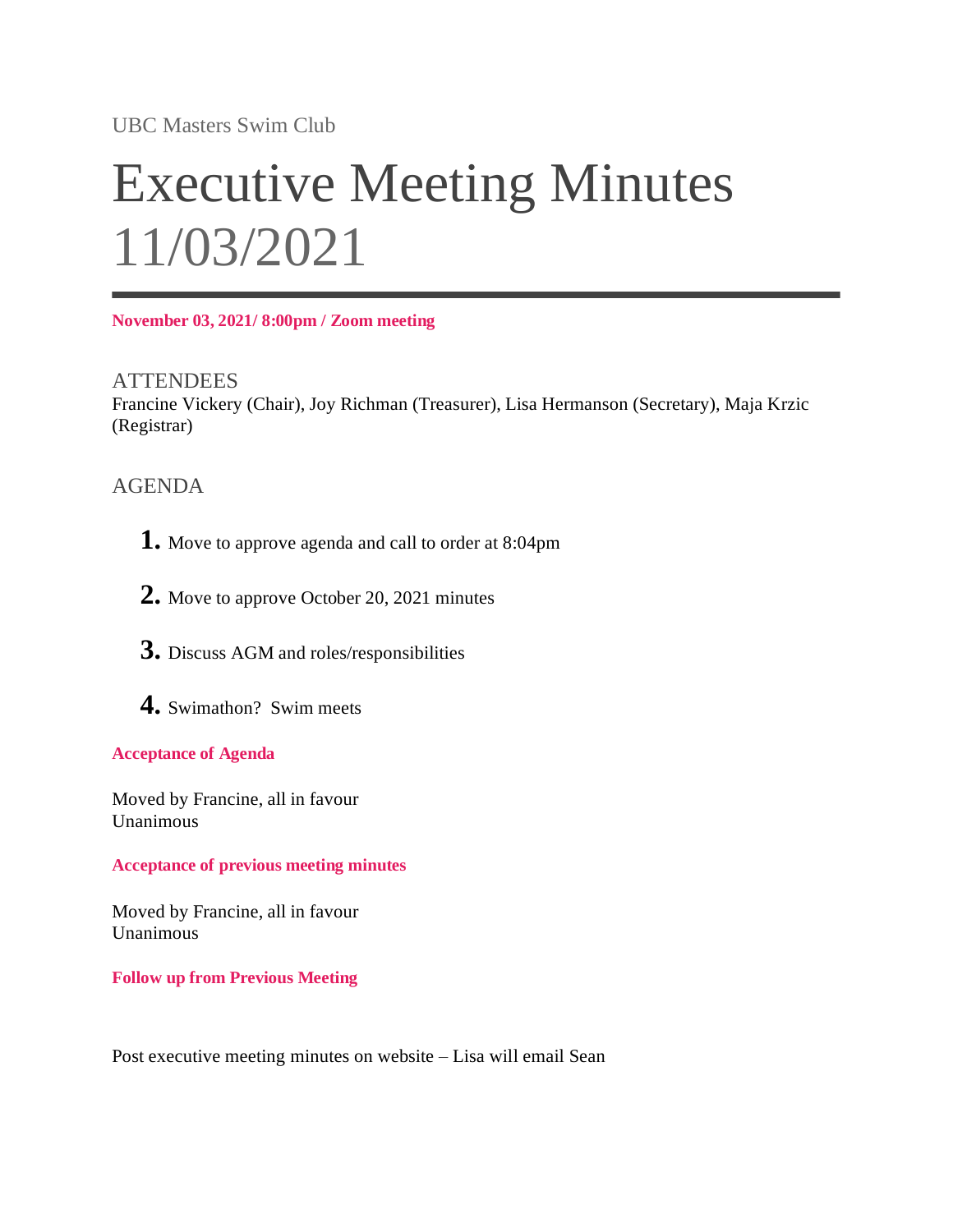UBC Masters Swim Club

# Executive Meeting Minutes 11/03/2021

**November 03, 2021/ 8:00pm / Zoom meeting**

**ATTENDEES** Francine Vickery (Chair), Joy Richman (Treasurer), Lisa Hermanson (Secretary), Maja Krzic (Registrar)

## AGENDA

- **1.** Move to approve agenda and call to order at 8:04pm
- **2.** Move to approve October 20, 2021 minutes
- **3.** Discuss AGM and roles/responsibilities
- **4.** Swimathon? Swim meets

### **Acceptance of Agenda**

Moved by Francine, all in favour Unanimous

**Acceptance of previous meeting minutes**

Moved by Francine, all in favour Unanimous

**Follow up from Previous Meeting**

Post executive meeting minutes on website – Lisa will email Sean